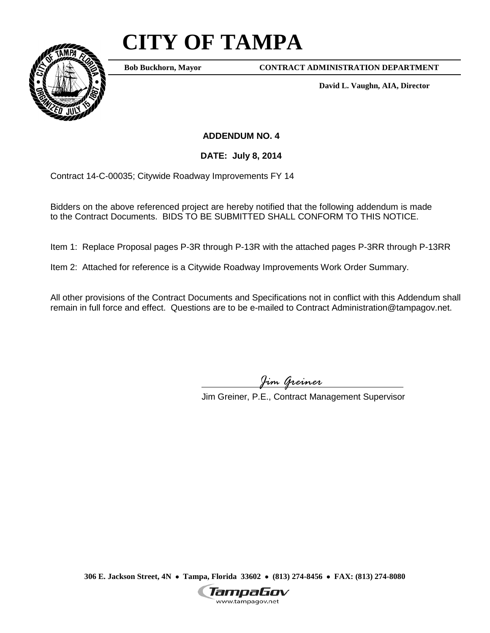## **CITY OF TAMPA**



**Bob Buckhorn, Mayor**

**CONTRACT ADMINISTRATION DEPARTMENT**

**David L. Vaughn, AIA, Director**

**ADDENDUM NO. 4**

**DATE: July 8, 2014**

Contract 14-C-00035; Citywide Roadway Improvements FY 14

Bidders on the above referenced project are hereby notified that the following addendum is made to the Contract Documents. BIDS TO BE SUBMITTED SHALL CONFORM TO THIS NOTICE.

Item 1: Replace Proposal pages P-3R through P-13R with the attached pages P-3RR through P-13RR

Item 2: Attached for reference is a Citywide Roadway Improvements Work Order Summary.

All other provisions of the Contract Documents and Specifications not in conflict with this Addendum shall remain in full force and effect. Questions are to be e-mailed to Contract Administration@tampagov.net.

*Jim Greiner*

Jim Greiner, P.E., Contract Management Supervisor

**306 E. Jackson Street, 4N** • **Tampa, Florida 33602** • **(813) 274-8456** • **FAX: (813) 274-8080**

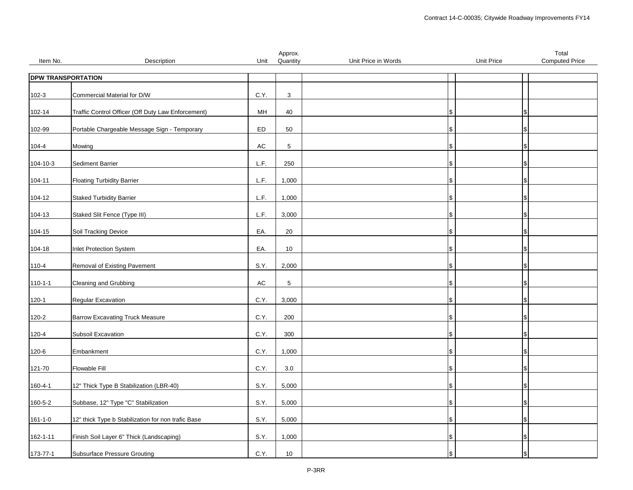|                |                                                    |               | Approx.     |                     |            | Total                 |
|----------------|----------------------------------------------------|---------------|-------------|---------------------|------------|-----------------------|
| Item No.       | Description                                        | Unit          | Quantity    | Unit Price in Words | Unit Price | <b>Computed Price</b> |
|                | <b>DPW TRANSPORTATION</b>                          |               |             |                     |            |                       |
|                |                                                    |               |             |                     |            |                       |
| $102 - 3$      | Commercial Material for D/W                        | C.Y.          | 3           |                     |            |                       |
| 102-14         | Traffic Control Officer (Off Duty Law Enforcement) | MH            | 40          |                     | l S        |                       |
|                |                                                    |               |             |                     |            |                       |
| 102-99         | Portable Chargeable Message Sign - Temporary       | ED            | 50          |                     | l\$        |                       |
| 104-4          | Mowing                                             | AC            | 5           |                     | \$         |                       |
|                |                                                    |               |             |                     |            |                       |
| 104-10-3       | Sediment Barrier                                   | L.F.          | 250         |                     | ۱\$        |                       |
|                | <b>Floating Turbidity Barrier</b>                  | L.F.          | 1,000       |                     |            |                       |
| 104-11         |                                                    |               |             |                     |            |                       |
| 104-12         | <b>Staked Turbidity Barrier</b>                    | L.F.          | 1,000       |                     | \$         |                       |
|                |                                                    |               |             |                     |            |                       |
| 104-13         | Staked Slit Fence (Type III)                       | L.F.          | 3,000       |                     |            |                       |
| 104-15         | Soil Tracking Device                               | EA.           | 20          |                     | IS.        |                       |
|                |                                                    |               |             |                     |            |                       |
| 104-18         | Inlet Protection System                            | EA.           | 10          |                     | l\$        |                       |
| 110-4          | Removal of Existing Pavement                       | S.Y.          | 2,000       |                     |            |                       |
|                |                                                    |               |             |                     |            |                       |
| $110 - 1 - 1$  | Cleaning and Grubbing                              | $\mathsf{AC}$ | $\,$ 5 $\,$ |                     |            |                       |
| $120 - 1$      | Regular Excavation                                 | C.Y.          | 3,000       |                     |            |                       |
|                |                                                    |               |             |                     |            |                       |
| 120-2          | <b>Barrow Excavating Truck Measure</b>             | C.Y.          | 200         |                     | \$         |                       |
| 120-4          | Subsoil Excavation                                 | C.Y.          | 300         |                     |            |                       |
|                |                                                    |               |             |                     |            |                       |
| 120-6          | Embankment                                         | C.Y.          | 1,000       |                     | l SS       |                       |
| 121-70         | Flowable Fill                                      | C.Y.          | $3.0\,$     |                     | l\$        |                       |
|                |                                                    |               |             |                     |            |                       |
| 160-4-1        | 12" Thick Type B Stabilization (LBR-40)            | S.Y.          | 5,000       |                     | \$         |                       |
| 160-5-2        | Subbase, 12" Type "C" Stabilization                | S.Y.          | 5,000       |                     | l\$        |                       |
|                |                                                    |               |             |                     |            |                       |
| $161 - 1 - 0$  | 12" thick Type b Stabilization for non trafic Base | S.Y.          | 5,000       |                     | S.         |                       |
|                |                                                    |               |             |                     |            |                       |
| $162 - 1 - 11$ | Finish Soil Layer 6" Thick (Landscaping)           | S.Y.          | 1,000       |                     | \$         |                       |
| 173-77-1       | <b>Subsurface Pressure Grouting</b>                | C.Y.          | 10          |                     |            |                       |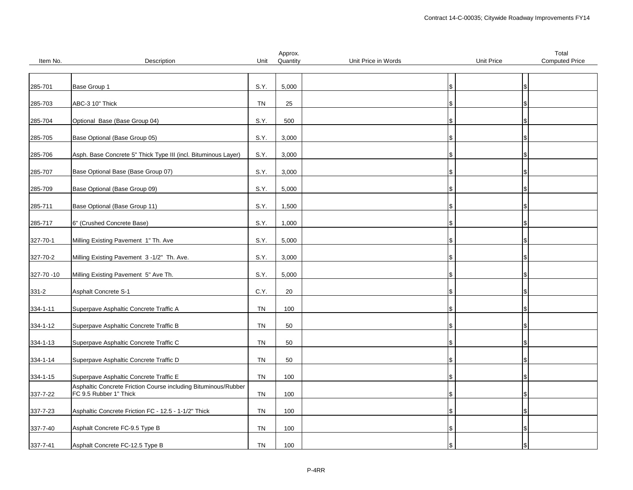|            |                                                                |           | Approx.  |                     |            | Total                 |
|------------|----------------------------------------------------------------|-----------|----------|---------------------|------------|-----------------------|
| Item No.   | Description                                                    | Unit      | Quantity | Unit Price in Words | Unit Price | <b>Computed Price</b> |
|            |                                                                |           |          |                     |            |                       |
|            |                                                                |           |          |                     |            |                       |
| 285-701    | Base Group 1                                                   | S.Y.      | 5,000    |                     | \$         |                       |
|            |                                                                |           |          |                     |            |                       |
|            |                                                                |           |          |                     |            |                       |
| 285-703    | ABC-3 10" Thick                                                | <b>TN</b> | 25       |                     |            |                       |
|            |                                                                |           |          |                     |            |                       |
| 285-704    | Optional Base (Base Group 04)                                  | S.Y.      | 500      |                     |            |                       |
|            |                                                                |           |          |                     |            |                       |
| 285-705    | Base Optional (Base Group 05)                                  | S.Y.      | 3,000    |                     |            |                       |
|            |                                                                |           |          |                     |            |                       |
|            |                                                                |           |          |                     |            |                       |
| 285-706    | Asph. Base Concrete 5" Thick Type III (incl. Bituminous Layer) | S.Y.      | 3,000    |                     |            |                       |
|            |                                                                |           |          |                     |            |                       |
| 285-707    | Base Optional Base (Base Group 07)                             | S.Y.      | 3,000    |                     | \$         |                       |
|            |                                                                |           |          |                     |            |                       |
| 285-709    | Base Optional (Base Group 09)                                  | S.Y.      | 5,000    |                     |            |                       |
|            |                                                                |           |          |                     |            |                       |
|            |                                                                |           |          |                     |            |                       |
| 285-711    | Base Optional (Base Group 11)                                  | S.Y.      | 1,500    |                     |            |                       |
|            |                                                                |           |          |                     |            |                       |
| 285-717    | 6" (Crushed Concrete Base)                                     | S.Y.      | 1,000    |                     |            |                       |
|            |                                                                |           |          |                     |            |                       |
| 327-70-1   | Milling Existing Pavement 1" Th. Ave                           | S.Y.      | 5,000    |                     |            |                       |
|            |                                                                |           |          |                     |            |                       |
|            |                                                                |           |          |                     |            |                       |
| 327-70-2   | Milling Existing Pavement 3-1/2" Th. Ave.                      | S.Y.      | 3,000    |                     | \$         |                       |
|            |                                                                |           |          |                     |            |                       |
| 327-70 -10 | Milling Existing Pavement 5" Ave Th.                           | S.Y.      | 5,000    |                     |            |                       |
|            |                                                                |           |          |                     |            |                       |
| $331 - 2$  | <b>Asphalt Concrete S-1</b>                                    | C.Y.      | 20       |                     |            |                       |
|            |                                                                |           |          |                     |            |                       |
|            |                                                                |           |          |                     |            |                       |
| 334-1-11   | Superpave Asphaltic Concrete Traffic A                         | TN        | 100      |                     |            |                       |
|            |                                                                |           |          |                     |            |                       |
| 334-1-12   | Superpave Asphaltic Concrete Traffic B                         | <b>TN</b> | 50       |                     |            |                       |
|            |                                                                |           |          |                     |            |                       |
| 334-1-13   | Superpave Asphaltic Concrete Traffic C                         | <b>TN</b> | 50       |                     | \$         |                       |
|            |                                                                |           |          |                     |            |                       |
|            | Superpave Asphaltic Concrete Traffic D                         | <b>TN</b> | 50       |                     |            |                       |
| 334-1-14   |                                                                |           |          |                     |            |                       |
|            |                                                                |           |          |                     |            |                       |
| 334-1-15   | Superpave Asphaltic Concrete Traffic E                         | TN        | 100      |                     |            |                       |
|            | Asphaltic Concrete Friction Course including Bituminous/Rubber |           |          |                     |            |                       |
| 337-7-22   | FC 9.5 Rubber 1" Thick                                         | <b>TN</b> | 100      |                     |            |                       |
|            |                                                                |           |          |                     |            |                       |
| 337-7-23   | Asphaltic Concrete Friction FC - 12.5 - 1-1/2" Thick           | <b>TN</b> | 100      |                     |            |                       |
|            |                                                                |           |          |                     |            |                       |
|            |                                                                |           |          |                     |            |                       |
| 337-7-40   | Asphalt Concrete FC-9.5 Type B                                 | <b>TN</b> | 100      |                     | \$         |                       |
|            |                                                                |           |          |                     |            |                       |
| 337-7-41   | Asphalt Concrete FC-12.5 Type B                                | <b>TN</b> | 100      |                     | S.         |                       |
|            |                                                                |           |          |                     |            |                       |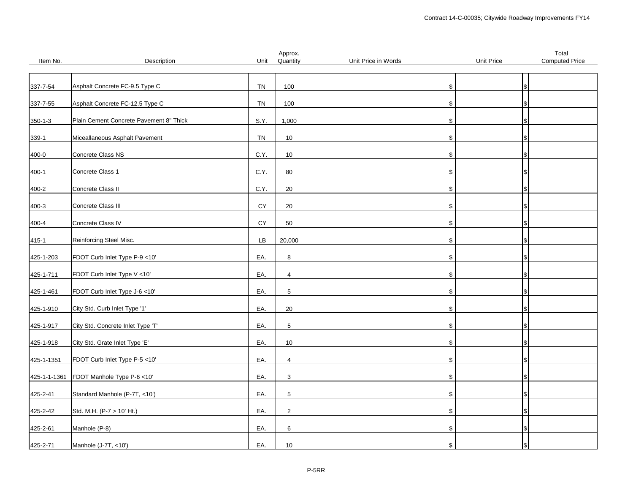|               |                                         |            | Approx.        |                     |                   | Total                 |
|---------------|-----------------------------------------|------------|----------------|---------------------|-------------------|-----------------------|
| Item No.      | Description                             | Unit       | Quantity       | Unit Price in Words | <b>Unit Price</b> | <b>Computed Price</b> |
|               |                                         |            |                |                     |                   |                       |
|               |                                         |            |                |                     |                   |                       |
| 337-7-54      | Asphalt Concrete FC-9.5 Type C          | TN         | 100            |                     | ۱\$               |                       |
|               |                                         |            |                |                     |                   |                       |
| 337-7-55      | Asphalt Concrete FC-12.5 Type C         | TN         | 100            |                     |                   |                       |
|               |                                         |            |                |                     |                   |                       |
| $350 - 1 - 3$ | Plain Cement Concrete Pavement 8" Thick | S.Y.       | 1,000          |                     | S                 |                       |
|               |                                         |            |                |                     |                   |                       |
| 339-1         | Miceallaneous Asphalt Pavement          | TN         | 10             |                     |                   |                       |
|               |                                         |            |                |                     |                   |                       |
| 400-0         | Concrete Class NS                       | C.Y.       | 10             |                     |                   |                       |
|               |                                         |            |                |                     |                   |                       |
| $400 - 1$     | Concrete Class 1                        | C.Y.       | 80             |                     | IS.               |                       |
|               |                                         |            |                |                     |                   |                       |
| 400-2         | Concrete Class II                       | C.Y.       | $20\,$         |                     |                   |                       |
|               | Concrete Class III                      | CY         | 20             |                     |                   |                       |
| $400 - 3$     |                                         |            |                |                     | S                 |                       |
| 400-4         | Concrete Class IV                       | CY         | 50             |                     |                   |                       |
|               |                                         |            |                |                     |                   |                       |
| 415-1         | Reinforcing Steel Misc.                 | ${\sf LB}$ | 20,000         |                     |                   |                       |
|               |                                         |            |                |                     |                   |                       |
| 425-1-203     | FDOT Curb Inlet Type P-9 <10'           | EA.        | $\bf 8$        |                     | IS.               |                       |
|               |                                         |            |                |                     |                   |                       |
| 425-1-711     | FDOT Curb Inlet Type V <10'             | EA.        | $\overline{4}$ |                     | Ъ                 |                       |
|               |                                         |            |                |                     |                   |                       |
| 425-1-461     | FDOT Curb Inlet Type J-6 <10'           | EA.        | $\,$ 5 $\,$    |                     | \$                |                       |
|               |                                         |            |                |                     |                   |                       |
| 425-1-910     | City Std. Curb Inlet Type '1'           | EA.        | 20             |                     |                   |                       |
|               |                                         |            |                |                     |                   |                       |
| 425-1-917     | City Std. Concrete Inlet Type 'T'       | EA.        | $\,$ 5 $\,$    |                     |                   |                       |
|               |                                         |            |                |                     |                   |                       |
| 425-1-918     | City Std. Grate Inlet Type 'E'          | EA.        | 10             |                     |                   |                       |
|               |                                         |            |                |                     |                   |                       |
| 425-1-1351    | FDOT Curb Inlet Type P-5 <10'           | EA.        | $\overline{4}$ |                     |                   |                       |
|               |                                         |            |                |                     |                   |                       |
| 425-1-1-1361  | FDOT Manhole Type P-6 <10'              | EA.        | 3              |                     | S                 |                       |
|               |                                         |            |                |                     |                   |                       |
| 425-2-41      | Standard Manhole (P-7T, <10')           | EA.        | $\,$ 5 $\,$    |                     |                   |                       |
|               |                                         |            |                |                     |                   |                       |
| 425-2-42      | Std. M.H. (P-7 > 10' Ht.)               | EA.        | $\mathbf 2$    |                     |                   |                       |
|               |                                         |            |                |                     |                   |                       |
| 425-2-61      | Manhole (P-8)                           | EA.        | 6              |                     |                   |                       |
|               |                                         |            |                |                     |                   |                       |
| 425-2-71      | Manhole (J-7T, <10')                    | EA.        | $10$           |                     | ۱\$               |                       |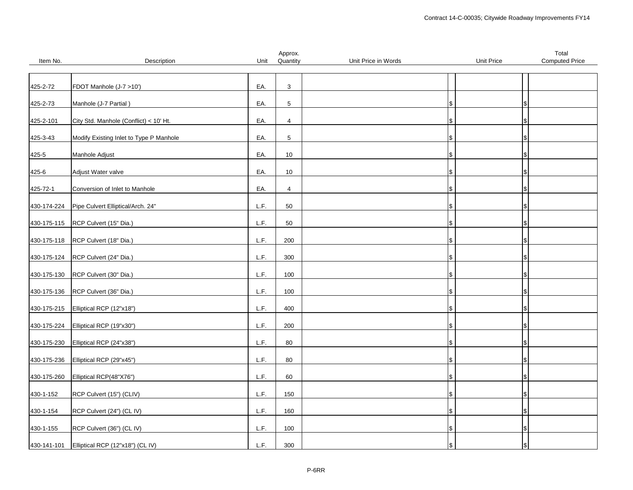|             |                                         |      | Approx.        |                     |                   | Total                 |
|-------------|-----------------------------------------|------|----------------|---------------------|-------------------|-----------------------|
| Item No.    | Description                             | Unit | Quantity       | Unit Price in Words | <b>Unit Price</b> | <b>Computed Price</b> |
|             |                                         |      |                |                     |                   |                       |
|             |                                         |      |                |                     |                   |                       |
| 425-2-72    | FDOT Manhole (J-7 >10')                 | EA.  | $\mathbf{3}$   |                     |                   |                       |
|             |                                         |      |                |                     |                   |                       |
| 425-2-73    | Manhole (J-7 Partial)                   | EA.  | $\sqrt{5}$     |                     |                   |                       |
|             |                                         |      |                |                     |                   |                       |
| 425-2-101   | City Std. Manhole (Conflict) < 10' Ht.  | EA.  | $\overline{4}$ |                     | \$                |                       |
|             |                                         |      |                |                     |                   |                       |
| 425-3-43    | Modify Existing Inlet to Type P Manhole | EA.  | 5              |                     |                   |                       |
|             |                                         |      |                |                     |                   |                       |
| 425-5       | Manhole Adjust                          | EA.  | 10             |                     | \$                |                       |
|             |                                         |      |                |                     |                   |                       |
| 425-6       | Adjust Water valve                      | EA.  | $10$           |                     | IS.               |                       |
|             |                                         |      |                |                     |                   |                       |
| 425-72-1    | Conversion of Inlet to Manhole          | EA.  | $\overline{4}$ |                     |                   |                       |
|             |                                         |      |                |                     |                   |                       |
| 430-174-224 | Pipe Culvert Elliptical/Arch. 24"       | L.F. | 50             |                     | S                 |                       |
|             |                                         |      |                |                     |                   |                       |
| 430-175-115 | RCP Culvert (15" Dia.)                  | L.F. | 50             |                     |                   |                       |
|             |                                         |      |                |                     |                   |                       |
| 430-175-118 | RCP Culvert (18" Dia.)                  | L.F. | 200            |                     |                   |                       |
|             |                                         |      |                |                     |                   |                       |
| 430-175-124 | RCP Culvert (24" Dia.)                  | L.F. | 300            |                     | l\$               |                       |
|             |                                         |      |                |                     |                   |                       |
| 430-175-130 | RCP Culvert (30" Dia.)                  | L.F. | 100            |                     | Ъ                 |                       |
|             |                                         |      |                |                     |                   |                       |
| 430-175-136 | RCP Culvert (36" Dia.)                  | L.F. | 100            |                     | \$                |                       |
|             |                                         |      |                |                     |                   |                       |
| 430-175-215 | Elliptical RCP (12"x18")                | L.F. | 400            |                     |                   |                       |
|             |                                         | L.F. |                |                     |                   |                       |
| 430-175-224 | Elliptical RCP (19"x30")                |      | 200            |                     |                   |                       |
|             | Elliptical RCP (24"x38")                | L.F. | 80             |                     | S                 |                       |
| 430-175-230 |                                         |      |                |                     |                   |                       |
|             |                                         | L.F. | 80             |                     |                   |                       |
| 430-175-236 | Elliptical RCP (29"x45")                |      |                |                     |                   |                       |
|             |                                         | L.F. | 60             |                     |                   |                       |
| 430-175-260 | Elliptical RCP(48"X76")                 |      |                |                     | S                 |                       |
|             |                                         | L.F. | 150            |                     |                   |                       |
| 430-1-152   | RCP Culvert (15") (CLIV)                |      |                |                     |                   |                       |
| 430-1-154   | RCP Culvert (24") (CL IV)               | L.F. | 160            |                     |                   |                       |
|             |                                         |      |                |                     |                   |                       |
|             |                                         | L.F. | 100            |                     |                   |                       |
| 430-1-155   | RCP Culvert (36") (CL IV)               |      |                |                     | l\$               |                       |
|             |                                         |      |                |                     |                   |                       |
| 430-141-101 | Elliptical RCP (12"x18") (CL IV)        | L.F. | 300            |                     | \$                |                       |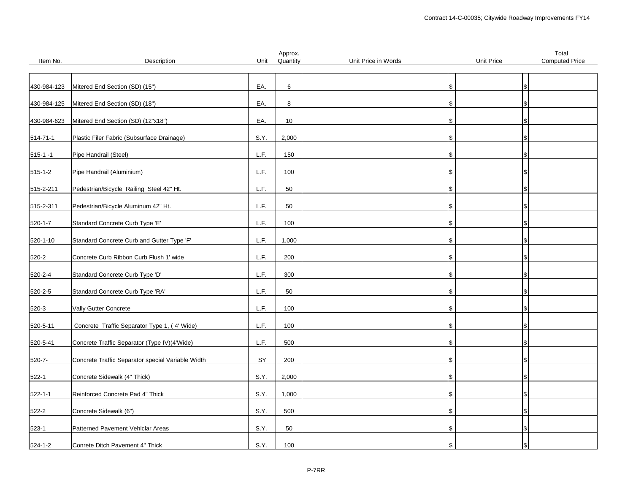|               |                                                   |      | Approx.  |                     |            | Total                 |
|---------------|---------------------------------------------------|------|----------|---------------------|------------|-----------------------|
| Item No.      | Description                                       | Unit | Quantity | Unit Price in Words | Unit Price | <b>Computed Price</b> |
|               |                                                   |      |          |                     |            |                       |
|               |                                                   |      |          |                     |            |                       |
| 430-984-123   | Mitered End Section (SD) (15")                    | EA.  | 6        | \$                  |            |                       |
|               |                                                   |      |          |                     |            |                       |
| 430-984-125   | Mitered End Section (SD) (18")                    | EA.  | 8        | l\$                 |            |                       |
|               |                                                   |      |          |                     |            |                       |
| 430-984-623   | Mitered End Section (SD) (12"x18")                | EA.  | 10       | \$                  |            |                       |
|               |                                                   |      |          |                     |            |                       |
| 514-71-1      | Plastic Filer Fabric (Subsurface Drainage)        | S.Y. | 2,000    | \$                  |            |                       |
|               |                                                   |      |          |                     |            |                       |
| $515 - 1 - 1$ | Pipe Handrail (Steel)                             | L.F. | 150      | \$                  |            |                       |
|               |                                                   | L.F. |          |                     |            |                       |
| 515-1-2       | Pipe Handrail (Aluminium)                         |      | 100      | l\$                 |            |                       |
| 515-2-211     | Pedestrian/Bicycle Railing Steel 42" Ht.          | L.F. | 50       | \$                  |            |                       |
|               |                                                   |      |          |                     |            |                       |
|               | Pedestrian/Bicycle Aluminum 42" Ht.               | L.F. | 50       | \$                  |            |                       |
| 515-2-311     |                                                   |      |          |                     |            |                       |
|               | Standard Concrete Curb Type 'E'                   | L.F. | 100      | \$.                 |            |                       |
| 520-1-7       |                                                   |      |          |                     |            |                       |
| 520-1-10      | Standard Concrete Curb and Gutter Type 'F'        | L.F. | 1,000    | \$                  |            |                       |
|               |                                                   |      |          |                     |            |                       |
| 520-2         | Concrete Curb Ribbon Curb Flush 1' wide           | L.F. | 200      | $\mathbf{\$}$       |            |                       |
|               |                                                   |      |          |                     |            |                       |
| 520-2-4       | Standard Concrete Curb Type 'D'                   | L.F. | 300      | \$                  |            |                       |
|               |                                                   |      |          |                     |            |                       |
| 520-2-5       | Standard Concrete Curb Type 'RA'                  | L.F. | 50       | \$                  |            |                       |
|               |                                                   |      |          |                     |            |                       |
| $520-3$       | Vally Gutter Concrete                             | L.F. | 100      | ۱\$                 |            |                       |
|               |                                                   |      |          |                     |            |                       |
| 520-5-11      | Concrete Traffic Separator Type 1, (4' Wide)      | L.F. | 100      | \$                  |            |                       |
|               |                                                   |      |          |                     |            |                       |
| 520-5-41      | Concrete Traffic Separator (Type IV)(4'Wide)      | L.F. | 500      | \$                  |            |                       |
|               |                                                   |      |          |                     |            |                       |
| $520 - 7 -$   | Concrete Traffic Separator special Variable Width | SY   | 200      | \$                  |            |                       |
|               |                                                   |      |          |                     |            |                       |
| $522 - 1$     | Concrete Sidewalk (4" Thick)                      | S.Y. | 2,000    | \$                  |            |                       |
|               |                                                   |      |          |                     |            |                       |
| 522-1-1       | Reinforced Concrete Pad 4" Thick                  | S.Y. | 1,000    | 1\$                 |            |                       |
|               |                                                   |      |          |                     |            |                       |
| $522 - 2$     | Concrete Sidewalk (6")                            | S.Y. | 500      | \$                  |            |                       |
|               |                                                   |      |          |                     |            |                       |
| 523-1         | Patterned Pavement Vehiclar Areas                 | S.Y. | 50       | Ι\$                 |            |                       |
|               |                                                   |      |          |                     |            |                       |
| $524 - 1 - 2$ | Conrete Ditch Pavement 4" Thick                   | S.Y. | 100      | \$                  |            |                       |
|               |                                                   |      |          |                     |            |                       |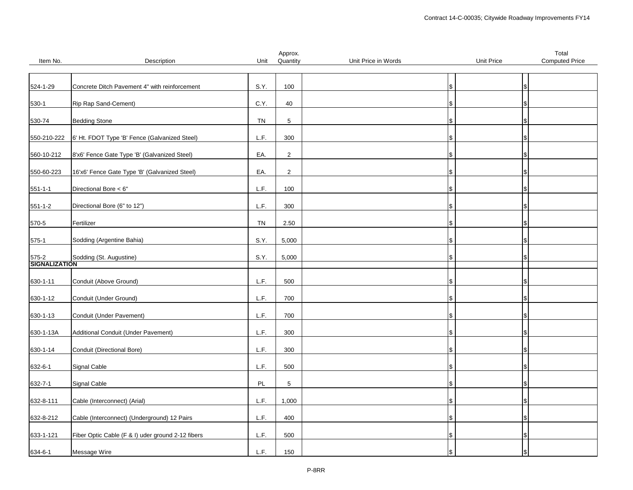|                             |                                                   |      | Approx.        |                     |            | Total                 |
|-----------------------------|---------------------------------------------------|------|----------------|---------------------|------------|-----------------------|
| Item No.                    | Description                                       | Unit | Quantity       | Unit Price in Words | Unit Price | <b>Computed Price</b> |
|                             |                                                   |      |                |                     |            |                       |
|                             |                                                   |      |                |                     |            |                       |
| 524-1-29                    | Concrete Ditch Pavement 4" with reinforcement     | S.Y. | 100            |                     | \$         |                       |
|                             |                                                   |      |                |                     |            |                       |
|                             |                                                   |      |                |                     |            |                       |
| $530-1$                     | Rip Rap Sand-Cement)                              | C.Y. | 40             |                     |            |                       |
|                             |                                                   |      |                |                     |            |                       |
| 530-74                      | <b>Bedding Stone</b>                              | TN   | 5              |                     | \$         |                       |
|                             |                                                   |      |                |                     |            |                       |
|                             |                                                   |      |                |                     |            |                       |
| 550-210-222                 | 6' Ht. FDOT Type 'B' Fence (Galvanized Steel)     | L.F. | 300            |                     |            |                       |
|                             |                                                   |      |                |                     |            |                       |
| 560-10-212                  | 8'x6' Fence Gate Type 'B' (Galvanized Steel)      | EA.  | $\overline{2}$ |                     | æ.         |                       |
|                             |                                                   |      |                |                     |            |                       |
|                             | 16'x6' Fence Gate Type 'B' (Galvanized Steel)     | EA.  | $\overline{2}$ |                     |            |                       |
| 550-60-223                  |                                                   |      |                |                     |            |                       |
|                             |                                                   |      |                |                     |            |                       |
| $551 - 1 - 1$               | Directional Bore < 6"                             | L.F. | 100            |                     |            |                       |
|                             |                                                   |      |                |                     |            |                       |
| $551 - 1 - 2$               | Directional Bore (6" to 12")                      | L.F. | 300            |                     | \$         |                       |
|                             |                                                   |      |                |                     |            |                       |
|                             |                                                   |      |                |                     |            |                       |
| 570-5                       | Fertilizer                                        | TN   | 2.50           |                     |            |                       |
|                             |                                                   |      |                |                     |            |                       |
| $575-1$                     | Sodding (Argentine Bahia)                         | S.Y. | 5,000          |                     |            |                       |
|                             |                                                   |      |                |                     |            |                       |
|                             |                                                   |      |                |                     |            |                       |
| 575-2 Sold<br>SIGNALIZATION | Sodding (St. Augustine)                           | S.Y. | 5,000          |                     |            |                       |
|                             |                                                   |      |                |                     |            |                       |
|                             |                                                   |      |                |                     |            |                       |
| 630-1-11                    | Conduit (Above Ground)                            | L.F. | 500            |                     |            |                       |
|                             |                                                   |      |                |                     |            |                       |
| 630-1-12                    | Conduit (Under Ground)                            | L.F. | 700            |                     | \$         |                       |
|                             |                                                   |      |                |                     |            |                       |
|                             |                                                   |      |                |                     |            |                       |
| 630-1-13                    | Conduit (Under Pavement)                          | L.F. | 700            |                     |            |                       |
|                             |                                                   |      |                |                     |            |                       |
| 630-1-13A                   | Additional Conduit (Under Pavement)               | L.F. | 300            |                     |            |                       |
|                             |                                                   |      |                |                     |            |                       |
|                             |                                                   |      |                |                     |            |                       |
| 630-1-14                    | Conduit (Directional Bore)                        | L.F. | 300            |                     | \$         |                       |
|                             |                                                   |      |                |                     |            |                       |
| 632-6-1                     | Signal Cable                                      | L.F. | 500            |                     |            |                       |
|                             |                                                   |      |                |                     |            |                       |
| 632-7-1                     | Signal Cable                                      | PL   | $\,$ 5 $\,$    |                     |            |                       |
|                             |                                                   |      |                |                     |            |                       |
|                             |                                                   |      |                |                     |            |                       |
| 632-8-111                   | Cable (Interconnect) (Arial)                      | L.F. | 1,000          |                     | \$         |                       |
|                             |                                                   |      |                |                     |            |                       |
| 632-8-212                   | Cable (Interconnect) (Underground) 12 Pairs       | L.F. | 400            |                     |            |                       |
|                             |                                                   |      |                |                     |            |                       |
|                             |                                                   |      |                |                     |            |                       |
| 633-1-121                   | Fiber Optic Cable (F & I) uder ground 2-12 fibers | L.F. | 500            |                     | \$         |                       |
|                             |                                                   |      |                |                     |            |                       |
| 634-6-1                     | Message Wire                                      | L.F. | 150            |                     |            |                       |
|                             |                                                   |      |                |                     |            |                       |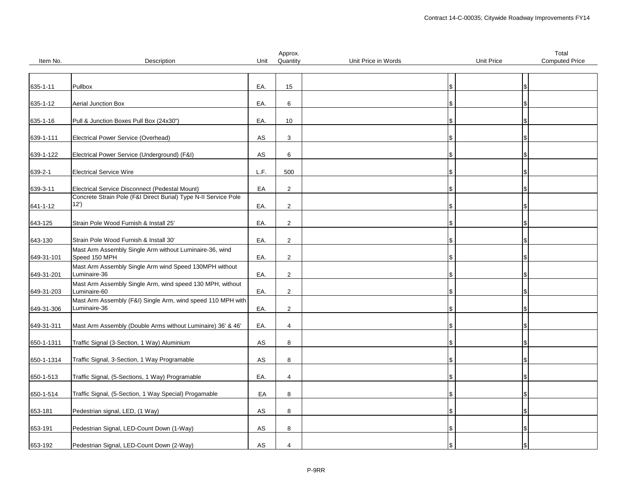|            |                                                                                                                   |            | Approx.         |                     |            | Total                 |
|------------|-------------------------------------------------------------------------------------------------------------------|------------|-----------------|---------------------|------------|-----------------------|
| Item No.   | Description                                                                                                       | Unit       | Quantity        | Unit Price in Words | Unit Price | <b>Computed Price</b> |
|            |                                                                                                                   |            |                 |                     |            |                       |
| 635-1-11   | Pullbox                                                                                                           | EA.        | 15              |                     | \$         |                       |
|            |                                                                                                                   |            |                 |                     |            |                       |
| 635-1-12   | <b>Aerial Junction Box</b>                                                                                        | EA.        | 6               |                     | \$         |                       |
|            |                                                                                                                   |            |                 |                     |            |                       |
| 635-1-16   | Pull & Junction Boxes Pull Box (24x30")                                                                           | EA.        | 10 <sup>1</sup> |                     | \$         |                       |
|            |                                                                                                                   |            |                 |                     |            |                       |
| 639-1-111  | Electrical Power Service (Overhead)                                                                               | AS         | 3               |                     | S          |                       |
|            |                                                                                                                   |            |                 |                     |            |                       |
| 639-1-122  | Electrical Power Service (Underground) (F&I)                                                                      | AS         | 6               |                     | \$         |                       |
|            |                                                                                                                   |            |                 |                     |            |                       |
| 639-2-1    | <b>Electrical Service Wire</b>                                                                                    | L.F.       | 500             |                     | \$         |                       |
|            |                                                                                                                   |            |                 |                     |            |                       |
| 639-3-11   | Electrical Service Disconnect (Pedestal Mount)<br>Concrete Strain Pole (F&I Direct Burial) Type N-II Service Pole | EA         | $\overline{2}$  |                     | \$         |                       |
|            | 12')                                                                                                              | EA.        | $\overline{2}$  |                     | \$         |                       |
| 641-1-12   |                                                                                                                   |            |                 |                     |            |                       |
| 643-125    | Strain Pole Wood Furnish & Install 25'                                                                            | EA.        | $\overline{2}$  |                     | S          |                       |
|            |                                                                                                                   |            |                 |                     |            |                       |
| 643-130    | Strain Pole Wood Furnish & Install 30'                                                                            | EA.        | $\overline{2}$  |                     | \$         |                       |
|            | Mast Arm Assembly Single Arm without Luminaire-36, wind                                                           |            |                 |                     |            |                       |
| 649-31-101 | Speed 150 MPH                                                                                                     | EA.        | $\overline{2}$  |                     | Ι\$        |                       |
|            | Mast Arm Assembly Single Arm wind Speed 130MPH without                                                            |            |                 |                     |            |                       |
| 649-31-201 | Luminaire-36                                                                                                      | EA.        | 2               |                     | \$         |                       |
|            | Mast Arm Assembly Single Arm, wind speed 130 MPH, without                                                         |            |                 |                     |            |                       |
| 649-31-203 | Luminaire-60                                                                                                      | EA.        | 2               |                     | \$         |                       |
|            | Mast Arm Assembly (F&I) Single Arm, wind speed 110 MPH with<br>Luminaire-36                                       |            |                 |                     |            |                       |
| 649-31-306 |                                                                                                                   | EA.        | $\overline{2}$  |                     | \$         |                       |
| 649-31-311 | Mast Arm Assembly (Double Arms without Luminaire) 36' & 46'                                                       | EA.        | 4               |                     | \$         |                       |
|            |                                                                                                                   |            |                 |                     |            |                       |
| 650-1-1311 | Traffic Signal (3-Section, 1 Way) Aluminium                                                                       | AS         | 8               |                     | \$         |                       |
|            |                                                                                                                   |            |                 |                     |            |                       |
| 650-1-1314 | Traffic Signal, 3-Section, 1 Way Programable                                                                      | AS         | 8               |                     | \$         |                       |
|            |                                                                                                                   |            |                 |                     |            |                       |
| 650-1-513  | Traffic Signal, (5-Sections, 1 Way) Programable                                                                   | EA.        | $\overline{4}$  |                     | \$         |                       |
|            |                                                                                                                   |            |                 |                     |            |                       |
| 650-1-514  | Traffic Signal, (5-Section, 1 Way Special) Progamable                                                             | EA         | 8               |                     | S          |                       |
|            |                                                                                                                   |            |                 |                     |            |                       |
| 653-181    | Pedestrian signal, LED, (1 Way)                                                                                   | ${\sf AS}$ | 8               |                     | l S        |                       |
|            |                                                                                                                   |            |                 |                     |            |                       |
| 653-191    | Pedestrian Signal, LED-Count Down (1-Way)                                                                         | AS         | 8               |                     | \$         |                       |
| 653-192    | Pedestrian Signal, LED-Count Down (2-Way)                                                                         | AS         | $\overline{4}$  |                     | \$         |                       |
|            |                                                                                                                   |            |                 |                     |            |                       |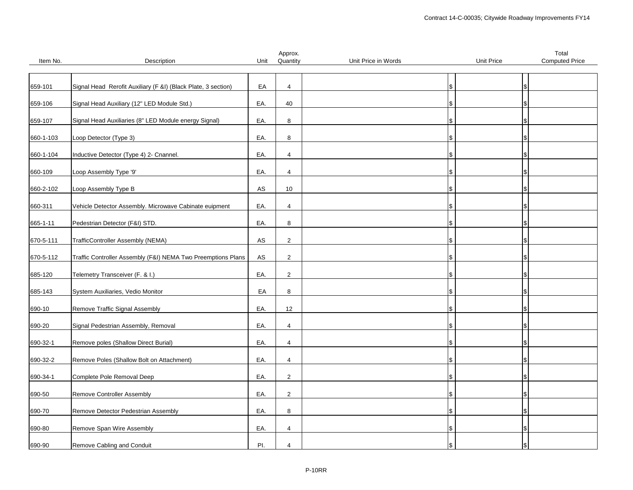|           |                                                               |      | Approx.        |                     |                   | Total                 |
|-----------|---------------------------------------------------------------|------|----------------|---------------------|-------------------|-----------------------|
| Item No.  | Description                                                   | Unit | Quantity       | Unit Price in Words | <b>Unit Price</b> | <b>Computed Price</b> |
|           |                                                               |      |                |                     |                   |                       |
|           |                                                               |      |                |                     |                   |                       |
| 659-101   | Signal Head Rerofit Auxiliary (F &I) (Black Plate, 3 section) | EA   | $\overline{4}$ | \$                  |                   |                       |
|           |                                                               |      |                |                     |                   |                       |
| 659-106   | Signal Head Auxiliary (12" LED Module Std.)                   | EA.  | 40             | l\$                 |                   |                       |
|           |                                                               |      |                |                     |                   |                       |
| 659-107   | Signal Head Auxiliaries (8" LED Module energy Signal)         | EA.  | 8              | \$                  |                   |                       |
|           |                                                               |      |                |                     |                   |                       |
| 660-1-103 | Loop Detector (Type 3)                                        | EA.  | 8              | \$                  |                   |                       |
|           |                                                               |      |                |                     |                   |                       |
| 660-1-104 | Inductive Detector (Type 4) 2- Cnannel.                       | EA.  | $\overline{4}$ | \$                  |                   |                       |
|           |                                                               |      |                |                     |                   |                       |
| 660-109   | Loop Assembly Type '9'                                        | EA.  | $\overline{4}$ | l\$                 |                   |                       |
|           |                                                               |      |                |                     |                   |                       |
| 660-2-102 | Loop Assembly Type B                                          | AS   | 10             | \$                  |                   |                       |
|           |                                                               |      |                |                     |                   |                       |
| 660-311   | Vehicle Detector Assembly. Microwave Cabinate euipment        | EA.  | $\overline{4}$ | \$                  |                   |                       |
|           |                                                               |      |                |                     |                   |                       |
| 665-1-11  | Pedestrian Detector (F&I) STD.                                | EA.  | 8              | \$.                 |                   |                       |
|           |                                                               |      |                |                     |                   |                       |
| 670-5-111 | TrafficController Assembly (NEMA)                             | AS   | $\overline{2}$ | \$                  |                   |                       |
|           |                                                               |      |                |                     |                   |                       |
| 670-5-112 | Traffic Controller Assembly (F&I) NEMA Two Preemptions Plans  | AS   | $\overline{2}$ | $\mathbf{\$}$       |                   |                       |
|           |                                                               |      |                |                     |                   |                       |
| 685-120   | Telemetry Transceiver (F. & I.)                               | EA.  | $\overline{2}$ | \$                  |                   |                       |
|           |                                                               |      |                |                     |                   |                       |
| 685-143   | System Auxiliaries, Vedio Monitor                             | EA   | 8              | \$                  |                   |                       |
|           |                                                               | EA.  | 12             |                     |                   |                       |
| 690-10    | Remove Traffic Signal Assembly                                |      |                | S                   |                   |                       |
|           | Signal Pedestrian Assembly, Removal                           | EA.  | $\overline{4}$ | \$                  |                   |                       |
| 690-20    |                                                               |      |                |                     |                   |                       |
| 690-32-1  | Remove poles (Shallow Direct Burial)                          | EA.  | $\overline{4}$ | l\$                 |                   |                       |
|           |                                                               |      |                |                     |                   |                       |
| 690-32-2  | Remove Poles (Shallow Bolt on Attachment)                     | EA.  | $\overline{4}$ | \$.                 |                   |                       |
|           |                                                               |      |                |                     |                   |                       |
| 690-34-1  | Complete Pole Removal Deep                                    | EA.  | 2              | \$                  |                   |                       |
|           |                                                               |      |                |                     |                   |                       |
| 690-50    | Remove Controller Assembly                                    | EA.  | $\overline{2}$ |                     |                   |                       |
|           |                                                               |      |                | 1\$                 |                   |                       |
| 690-70    | Remove Detector Pedestrian Assembly                           | EA.  | 8              | \$                  |                   |                       |
|           |                                                               |      |                |                     |                   |                       |
| 690-80    | Remove Span Wire Assembly                                     | EA.  | $\overline{4}$ | Ι\$                 |                   |                       |
|           |                                                               |      |                |                     |                   |                       |
| 690-90    | Remove Cabling and Conduit                                    | PI.  | $\overline{4}$ | \$                  |                   |                       |
|           |                                                               |      |                |                     |                   |                       |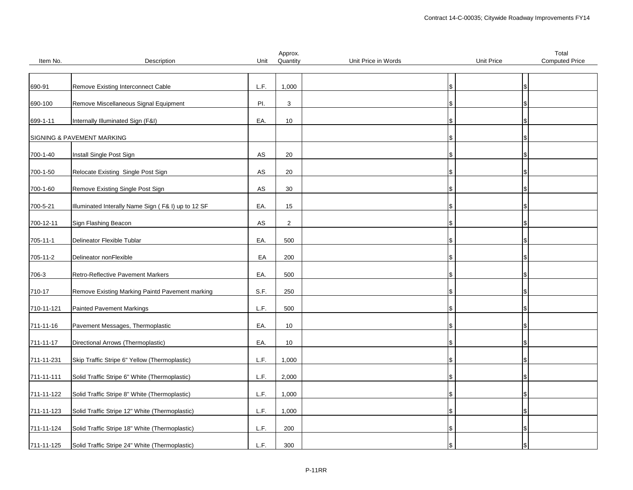|                  |                                                    |           | Approx.        |                     |            | Total                 |
|------------------|----------------------------------------------------|-----------|----------------|---------------------|------------|-----------------------|
| Item No.         | Description                                        | Unit      | Quantity       | Unit Price in Words | Unit Price | <b>Computed Price</b> |
|                  |                                                    |           |                |                     |            |                       |
|                  |                                                    |           |                |                     |            |                       |
| 690-91           | Remove Existing Interconnect Cable                 | L.F.      | 1,000          | \$                  |            |                       |
|                  |                                                    |           |                |                     |            |                       |
| 690-100          | Remove Miscellaneous Signal Equipment              | PI.       | 3              | l\$                 |            |                       |
|                  |                                                    |           |                |                     |            |                       |
| 699-1-11         | Internally Illuminated Sign (F&I)                  | EA.       | 10             | \$                  |            |                       |
|                  |                                                    |           |                |                     |            |                       |
|                  | SIGNING & PAVEMENT MARKING                         |           |                | S                   |            |                       |
|                  |                                                    |           |                |                     |            |                       |
| 700-1-40         | Install Single Post Sign                           | AS        | 20             | \$                  |            |                       |
|                  | Relocate Existing Single Post Sign                 | AS        | 20             |                     |            |                       |
| 700-1-50         |                                                    |           |                | ۱\$                 |            |                       |
| 700-1-60         | Remove Existing Single Post Sign                   | <b>AS</b> | 30             | \$.                 |            |                       |
|                  |                                                    |           |                |                     |            |                       |
| 700-5-21         | Illuminated Interally Name Sign (F& I) up to 12 SF | EA.       | 15             | \$                  |            |                       |
|                  |                                                    |           |                |                     |            |                       |
| 700-12-11        | Sign Flashing Beacon                               | AS        | $\overline{2}$ | S                   |            |                       |
|                  |                                                    |           |                |                     |            |                       |
| 705-11-1         | Delineator Flexible Tublar                         | EA.       | 500            | \$                  |            |                       |
|                  |                                                    |           |                |                     |            |                       |
| 705-11-2         | Delineator nonFlexible                             | EA        | 200            | \$                  |            |                       |
|                  |                                                    |           |                |                     |            |                       |
| 706-3            | Retro-Reflective Pavement Markers                  | EA.       | 500            | \$                  |            |                       |
|                  |                                                    |           |                |                     |            |                       |
| 710-17           | Remove Existing Marking Paintd Pavement marking    | S.F.      | 250            | l\$                 |            |                       |
|                  |                                                    |           |                |                     |            |                       |
| 710-11-121       | <b>Painted Pavement Markings</b>                   | L.F.      | 500            | \$                  |            |                       |
|                  |                                                    |           |                |                     |            |                       |
| 711-11-16        | Pavement Messages, Thermoplastic                   | EA.       | 10             | \$                  |            |                       |
|                  |                                                    |           |                |                     |            |                       |
| 711-11-17        | Directional Arrows (Thermoplastic)                 | EA.       | 10             | l\$                 |            |                       |
|                  |                                                    |           |                |                     |            |                       |
| 711-11-231       | Skip Traffic Stripe 6" Yellow (Thermoplastic)      | L.F.      | 1,000          | S                   |            |                       |
|                  |                                                    |           |                |                     |            |                       |
| $711 - 11 - 111$ | Solid Traffic Stripe 6" White (Thermoplastic)      | L.F.      | 2,000          | l\$                 |            |                       |
|                  |                                                    |           |                |                     |            |                       |
| 711-11-122       | Solid Traffic Stripe 8" White (Thermoplastic)      | L.F.      | 1,000          | \$                  |            |                       |
|                  |                                                    |           |                |                     |            |                       |
| 711-11-123       | Solid Traffic Stripe 12" White (Thermoplastic)     | L.F.      | 1,000          | \$                  |            |                       |
|                  |                                                    |           |                |                     |            |                       |
| 711-11-124       | Solid Traffic Stripe 18" White (Thermoplastic)     | L.F.      | 200            | \$                  |            |                       |
|                  |                                                    |           |                |                     |            |                       |
| 711-11-125       | Solid Traffic Stripe 24" White (Thermoplastic)     | L.F.      | 300            | \$                  |            |                       |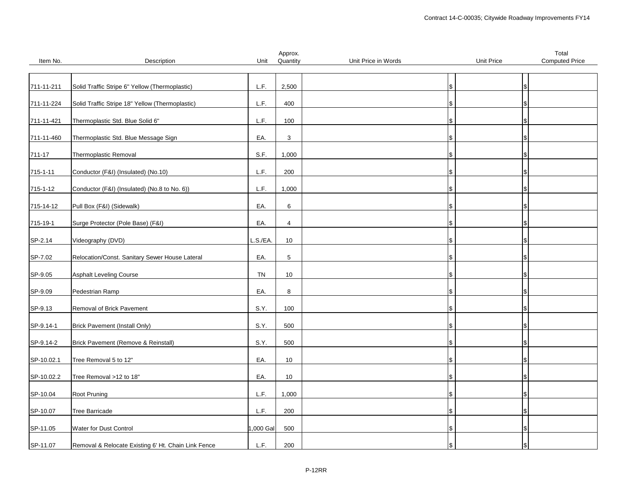|                |                                                     |           | Approx.     |                     |            | Total                 |
|----------------|-----------------------------------------------------|-----------|-------------|---------------------|------------|-----------------------|
| Item No.       | Description                                         | Unit      | Quantity    | Unit Price in Words | Unit Price | <b>Computed Price</b> |
|                |                                                     |           |             |                     |            |                       |
|                |                                                     |           |             |                     |            |                       |
| 711-11-211     | Solid Traffic Stripe 6" Yellow (Thermoplastic)      | L.F.      | 2,500       |                     | ι\$        |                       |
|                |                                                     |           |             |                     |            |                       |
| 711-11-224     | Solid Traffic Stripe 18" Yellow (Thermoplastic)     | L.F.      | 400         |                     |            |                       |
|                |                                                     |           |             |                     |            |                       |
| 711-11-421     | Thermoplastic Std. Blue Solid 6"                    | L.F.      | 100         |                     |            |                       |
|                |                                                     |           |             |                     |            |                       |
| 711-11-460     | Thermoplastic Std. Blue Message Sign                | EA.       | 3           |                     |            |                       |
|                |                                                     |           |             |                     |            |                       |
| 711-17         | Thermoplastic Removal                               | S.F.      | 1,000       |                     |            |                       |
|                |                                                     |           |             |                     |            |                       |
| $715 - 1 - 11$ | Conductor (F&I) (Insulated) (No.10)                 | L.F.      | 200         |                     |            |                       |
|                |                                                     |           |             |                     |            |                       |
| 715-1-12       | Conductor (F&I) (Insulated) (No.8 to No. 6))        | L.F.      | 1,000       |                     |            |                       |
|                |                                                     |           |             |                     |            |                       |
| 715-14-12      | Pull Box (F&I) (Sidewalk)                           | EA.       | 6           |                     | Ж,         |                       |
|                |                                                     |           |             |                     |            |                       |
| 715-19-1       | Surge Protector (Pole Base) (F&I)                   | EA.       | 4           |                     |            |                       |
|                |                                                     |           |             |                     |            |                       |
| SP-2.14        | Videography (DVD)                                   | L.S./EA.  | 10          |                     |            |                       |
|                |                                                     |           |             |                     |            |                       |
| SP-7.02        | Relocation/Const. Sanitary Sewer House Lateral      | EA.       | $\,$ 5 $\,$ |                     | \$.        |                       |
|                |                                                     |           |             |                     |            |                       |
| SP-9.05        | <b>Asphalt Leveling Course</b>                      | <b>TN</b> | 10          |                     |            |                       |
|                |                                                     |           |             |                     |            |                       |
|                | Pedestrian Ramp                                     | EA.       | 8           |                     |            |                       |
| SP-9.09        |                                                     |           |             |                     |            |                       |
|                | Removal of Brick Pavement                           | S.Y.      | 100         |                     |            |                       |
| SP-9.13        |                                                     |           |             |                     |            |                       |
|                |                                                     |           |             |                     |            |                       |
| SP-9.14-1      | Brick Pavement (Install Only)                       | S.Y.      | 500         |                     |            |                       |
|                |                                                     |           |             |                     |            |                       |
| SP-9.14-2      | Brick Pavement (Remove & Reinstall)                 | S.Y.      | 500         |                     |            |                       |
|                |                                                     |           |             |                     |            |                       |
| SP-10.02.1     | Tree Removal 5 to 12"                               | EA.       | 10          |                     |            |                       |
|                |                                                     |           |             |                     |            |                       |
| SP-10.02.2     | Tree Removal >12 to 18"                             | EA.       | 10          |                     |            |                       |
|                |                                                     |           |             |                     |            |                       |
| SP-10.04       | Root Pruning                                        | L.F.      | 1,000       |                     |            |                       |
|                |                                                     |           |             |                     |            |                       |
| SP-10.07       | Tree Barricade                                      | L.F.      | 200         |                     |            |                       |
|                |                                                     |           |             |                     |            |                       |
| SP-11.05       | Water for Dust Control                              | ,000 Gal  | 500         |                     |            |                       |
|                |                                                     |           |             |                     |            |                       |
| SP-11.07       | Removal & Relocate Existing 6' Ht. Chain Link Fence | L.F.      | 200         |                     |            |                       |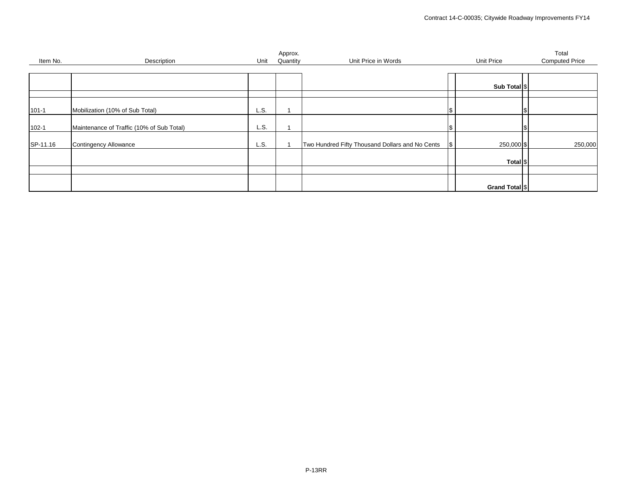| Item No.  | Description                               | Unit | Approx.<br>Quantity | Unit Price in Words                             |            | Unit Price          | Total<br><b>Computed Price</b> |
|-----------|-------------------------------------------|------|---------------------|-------------------------------------------------|------------|---------------------|--------------------------------|
|           |                                           |      |                     |                                                 |            |                     |                                |
|           |                                           |      |                     |                                                 |            |                     |                                |
|           |                                           |      |                     |                                                 |            | Sub Total \$        |                                |
|           |                                           |      |                     |                                                 |            |                     |                                |
| $101 - 1$ | Mobilization (10% of Sub Total)           | L.S. |                     |                                                 | \$         |                     |                                |
| $102 - 1$ | Maintenance of Traffic (10% of Sub Total) | L.S. |                     |                                                 | <b>S</b>   |                     |                                |
| SP-11.16  | Contingency Allowance                     | L.S. |                     | Two Hundred Fifty Thousand Dollars and No Cents | $\sqrt{3}$ | 250,000 \$          | 250,000                        |
|           |                                           |      |                     |                                                 |            | Total <sup>\$</sup> |                                |
|           |                                           |      |                     |                                                 |            |                     |                                |
|           |                                           |      |                     |                                                 |            | Grand Total \$      |                                |